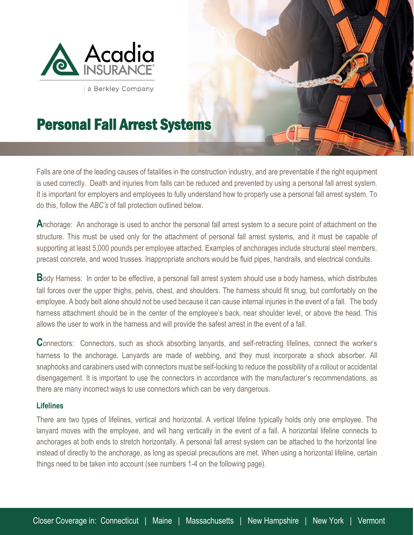

a Berkley Company

## Personal Fall Arrest Systems

Falls are one of the leading causes of fatalities in the construction industry, and are preventable if the right equipment is used correctly. Death and injuries from falls can be reduced and prevented by using a personal fall arrest system. It is important for employers and employees to fully understand how to properly use a personal fall arrest system. To do this, follow the *ABC's* of fall protection outlined below.

**A**nchorage: An anchorage is used to anchor the personal fall arrest system to a secure point of attachment on the structure. This must be used only for the attachment of personal fall arrest systems, and it must be capable of supporting at least 5,000 pounds per employee attached. Examples of anchorages include structural steel members, precast concrete, and wood trusses. Inappropriate anchors would be fluid pipes, handrails, and electrical conduits.

**B**ody Harness: In order to be effective, a personal fall arrest system should use a body harness, which distributes fall forces over the upper thighs, pelvis, chest, and shoulders. The harness should fit snug, but comfortably on the employee. A body belt alone should not be used because it can cause internal injuries in the event of a fall. The body harness attachment should be in the center of the employee's back, near shoulder level, or above the head. This allows the user to work in the harness and will provide the safest arrest in the event of a fall.

**C**onnectors: Connectors, such as shock absorbing lanyards, and self-retracting lifelines, connect the worker's harness to the anchorage. Lanyards are made of webbing, and they must incorporate a shock absorber. All snaphooks and carabiners used with connectors must be self-locking to reduce the possibility of a rollout or accidental disengagement. It is important to use the connectors in accordance with the manufacturer's recommendations, as there are many incorrect ways to use connectors which can be very dangerous.

## **Lifelines**

l

There are two types of lifelines, vertical and horizontal. A vertical lifeline typically holds only one employee. The lanyard moves with the employee, and will hang vertically in the event of a fall. A horizontal lifeline connects to anchorages at both ends to stretch horizontally. A personal fall arrest system can be attached to the horizontal line instead of directly to the anchorage, as long as special precautions are met. When using a horizontal lifeline, certain things need to be taken into account (see numbers 1-4 on the following page).